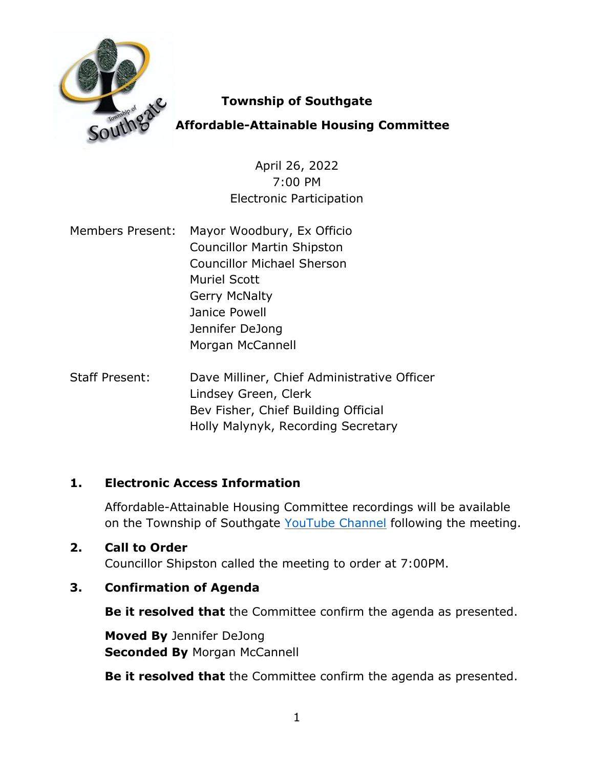

### **Township of Southgate**

## **Affordable-Attainable Housing Committee**

April 26, 2022 7:00 PM Electronic Participation

- Members Present: Mayor Woodbury, Ex Officio Councillor Martin Shipston Councillor Michael Sherson Muriel Scott Gerry McNalty Janice Powell Jennifer DeJong Morgan McCannell
- Staff Present: Dave Milliner, Chief Administrative Officer Lindsey Green, Clerk Bev Fisher, Chief Building Official Holly Malynyk, Recording Secretary

### **1. Electronic Access Information**

Affordable-Attainable Housing Committee recordings will be available on the Township of Southgate [YouTube Channel](https://www.youtube.com/channel/UCQwE4FaTDZQpJZPPCApPjSg) following the meeting.

### **2. Call to Order**

Councillor Shipston called the meeting to order at 7:00PM.

### **3. Confirmation of Agenda**

**Be it resolved that** the Committee confirm the agenda as presented.

**Moved By** Jennifer DeJong **Seconded By Morgan McCannell** 

**Be it resolved that** the Committee confirm the agenda as presented.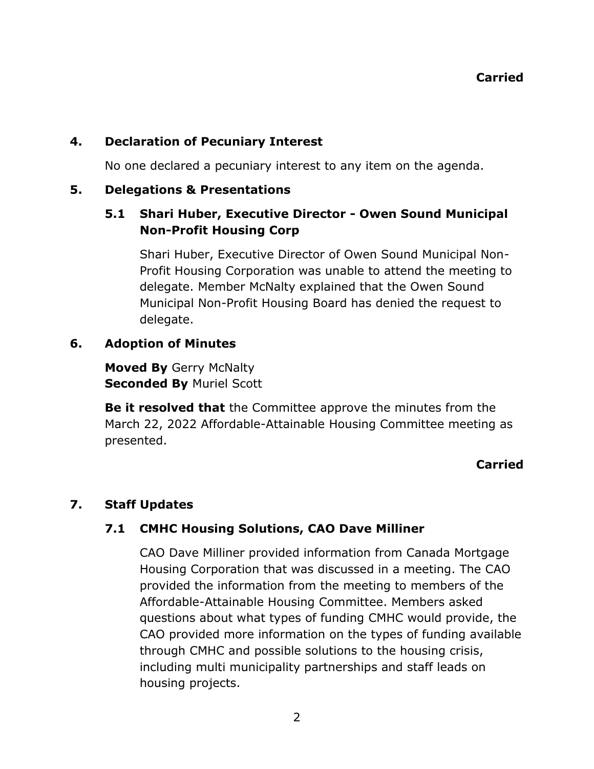### **4. Declaration of Pecuniary Interest**

No one declared a pecuniary interest to any item on the agenda.

#### **5. Delegations & Presentations**

### **5.1 Shari Huber, Executive Director - Owen Sound Municipal Non-Profit Housing Corp**

Shari Huber, Executive Director of Owen Sound Municipal Non-Profit Housing Corporation was unable to attend the meeting to delegate. Member McNalty explained that the Owen Sound Municipal Non-Profit Housing Board has denied the request to delegate.

### **6. Adoption of Minutes**

**Moved By** Gerry McNalty **Seconded By** Muriel Scott

**Be it resolved that** the Committee approve the minutes from the March 22, 2022 Affordable-Attainable Housing Committee meeting as presented.

### **Carried**

### **7. Staff Updates**

### **7.1 CMHC Housing Solutions, CAO Dave Milliner**

CAO Dave Milliner provided information from Canada Mortgage Housing Corporation that was discussed in a meeting. The CAO provided the information from the meeting to members of the Affordable-Attainable Housing Committee. Members asked questions about what types of funding CMHC would provide, the CAO provided more information on the types of funding available through CMHC and possible solutions to the housing crisis, including multi municipality partnerships and staff leads on housing projects.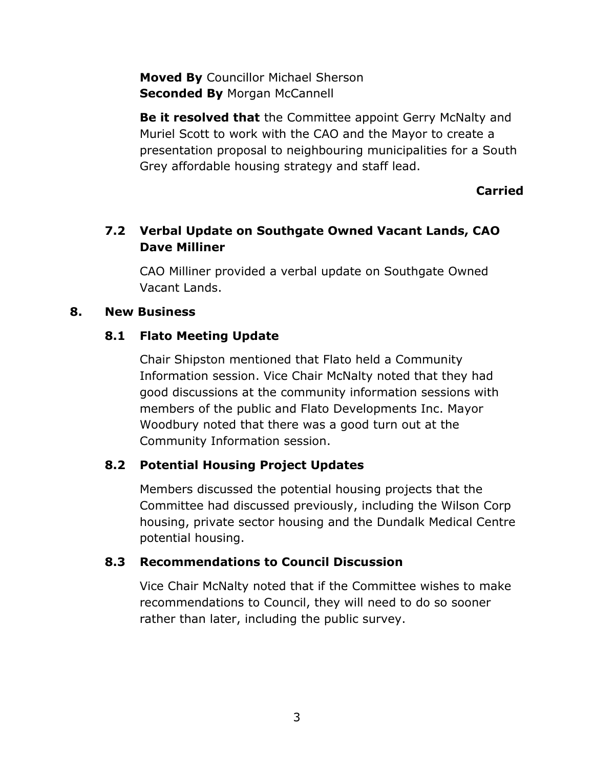**Moved By** Councillor Michael Sherson **Seconded By Morgan McCannell** 

**Be it resolved that** the Committee appoint Gerry McNalty and Muriel Scott to work with the CAO and the Mayor to create a presentation proposal to neighbouring municipalities for a South Grey affordable housing strategy and staff lead.

#### **Carried**

### **7.2 Verbal Update on Southgate Owned Vacant Lands, CAO Dave Milliner**

CAO Milliner provided a verbal update on Southgate Owned Vacant Lands.

#### **8. New Business**

### **8.1 Flato Meeting Update**

Chair Shipston mentioned that Flato held a Community Information session. Vice Chair McNalty noted that they had good discussions at the community information sessions with members of the public and Flato Developments Inc. Mayor Woodbury noted that there was a good turn out at the Community Information session.

### **8.2 Potential Housing Project Updates**

Members discussed the potential housing projects that the Committee had discussed previously, including the Wilson Corp housing, private sector housing and the Dundalk Medical Centre potential housing.

### **8.3 Recommendations to Council Discussion**

Vice Chair McNalty noted that if the Committee wishes to make recommendations to Council, they will need to do so sooner rather than later, including the public survey.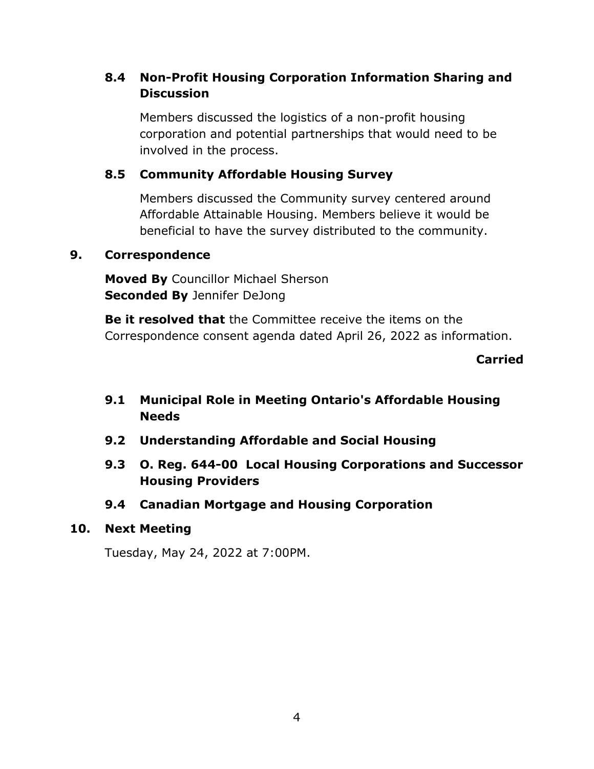### **8.4 Non-Profit Housing Corporation Information Sharing and Discussion**

Members discussed the logistics of a non-profit housing corporation and potential partnerships that would need to be involved in the process.

### **8.5 Community Affordable Housing Survey**

Members discussed the Community survey centered around Affordable Attainable Housing. Members believe it would be beneficial to have the survey distributed to the community.

#### **9. Correspondence**

**Moved By** Councillor Michael Sherson **Seconded By** Jennifer DeJong

**Be it resolved that** the Committee receive the items on the Correspondence consent agenda dated April 26, 2022 as information.

**Carried**

### **9.1 Municipal Role in Meeting Ontario's Affordable Housing Needs**

- **9.2 Understanding Affordable and Social Housing**
- **9.3 O. Reg. 644-00 Local Housing Corporations and Successor Housing Providers**
- **9.4 Canadian Mortgage and Housing Corporation**

#### **10. Next Meeting**

Tuesday, May 24, 2022 at 7:00PM.